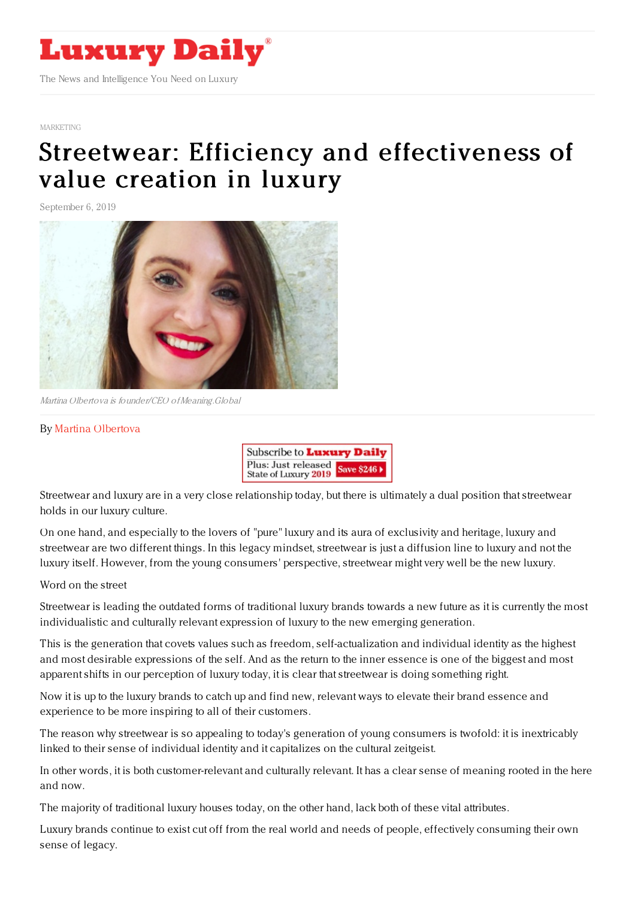

#### [MARKETING](https://www.luxurydaily.com/category/sectors/marketing-industry-sectors/)

# Streetwear: Efficiency and [effectiveness](https://www.luxurydaily.com/efficiency-and-effectiveness-of-value-creation-in-luxury/) of value creation in luxury

September 6, 2019



Martina Olbertova is founder/CEO ofMeaning.Global

### By Martina [Olbertova](http://meaning.global)



Streetwear and luxury are in a very close relationship today, but there is ultimately a dual position that streetwear holds in our luxury culture.

On one hand, and especially to the lovers of "pure" luxury and its aura of exclusivity and heritage, luxury and streetwear are two different things. In this legacy mindset, streetwear is just a diffusion line to luxury and not the luxury itself. However, from the young consumers' perspective, streetwear might very well be the new luxury.

Word on the street

Streetwear is leading the outdated forms of traditional luxury brands towards a new future as it is currently the most individualistic and culturally relevant expression of luxury to the new emerging generation.

This is the generation that covets values such as freedom, self-actualization and individual identity as the highest and most desirable expressions of the self. And as the return to the inner essence is one of the biggest and most apparent shifts in our perception of luxury today, it is clear that streetwear is doing something right.

Now it is up to the luxury brands to catch up and find new, relevant ways to elevate their brand essence and experience to be more inspiring to all of their customers.

The reason why streetwear is so appealing to today's generation of young consumers is twofold: it is inextricably linked to their sense of individual identity and it capitalizes on the cultural zeitgeist.

In other words, it is both customer-relevant and culturally relevant. It has a clear sense of meaning rooted in the here and now.

The majority of traditional luxury houses today, on the other hand, lack both of these vital attributes.

Luxury brands continue to exist cut off from the real world and needs of people, effectively consuming their own sense of legacy.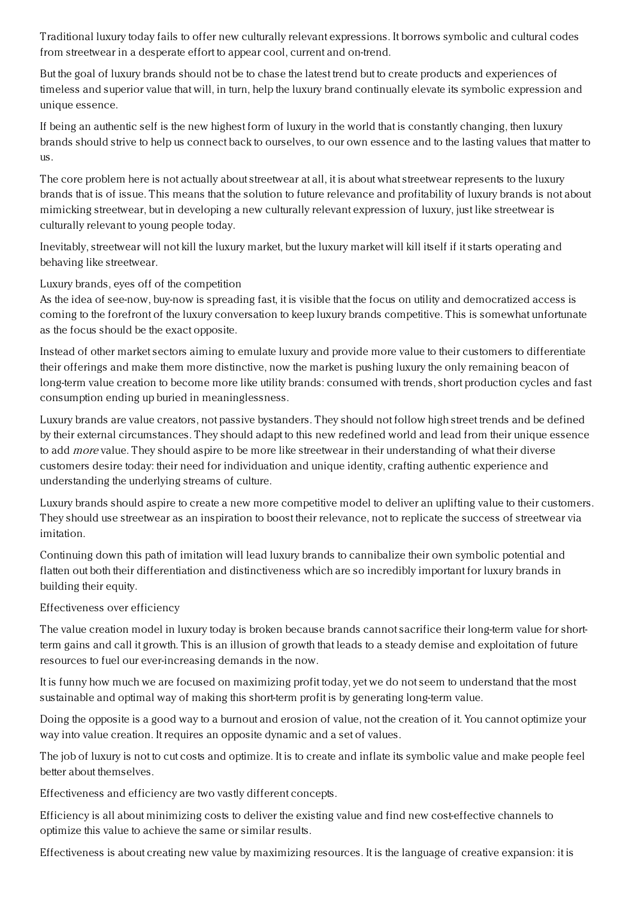Traditional luxury today fails to offer new culturally relevant expressions. It borrows symbolic and cultural codes from streetwear in a desperate effort to appear cool, current and on-trend.

But the goal of luxury brands should not be to chase the latest trend but to create products and experiences of timeless and superior value that will, in turn, help the luxury brand continually elevate its symbolic expression and unique essence.

If being an authentic self is the new highest form of luxury in the world that is constantly changing, then luxury brands should strive to help us connect back to ourselves, to our own essence and to the lasting values that matter to us.

The core problem here is not actually about streetwear at all, it is about what streetwear represents to the luxury brands that is of issue. This means that the solution to future relevance and profitability of luxury brands is not about mimicking streetwear, but in developing a new culturally relevant expression of luxury, just like streetwear is culturally relevant to young people today.

Inevitably, streetwear will not kill the luxury market, but the luxury market will kill itself if it starts operating and behaving like streetwear.

## Luxury brands, eyes off of the competition

As the idea of see-now, buy-now is spreading fast, it is visible that the focus on utility and democratized access is coming to the forefront of the luxury conversation to keep luxury brands competitive. This is somewhat unfortunate as the focus should be the exact opposite.

Instead of other market sectors aiming to emulate luxury and provide more value to their customers to differentiate their offerings and make them more distinctive, now the market is pushing luxury the only remaining beacon of long-term value creation to become more like utility brands: consumed with trends, short production cycles and fast consumption ending up buried in meaninglessness.

Luxury brands are value creators, not passive bystanders. They should not follow high street trends and be defined by their external circumstances. They should adapt to this new redefined world and lead from their unique essence to add *more* value. They should aspire to be more like streetwear in their understanding of what their diverse customers desire today: their need for individuation and unique identity, crafting authentic experience and understanding the underlying streams of culture.

Luxury brands should aspire to create a new more competitive model to deliver an uplifting value to their customers. They should use streetwear as an inspiration to boost their relevance, not to replicate the success of streetwear via imitation.

Continuing down this path of imitation will lead luxury brands to cannibalize their own symbolic potential and flatten out both their differentiation and distinctiveness which are so incredibly important for luxury brands in building their equity.

## Effectiveness over efficiency

The value creation model in luxury today is broken because brands cannot sacrifice their long-term value for shortterm gains and call it growth. This is an illusion of growth that leads to a steady demise and exploitation of future resources to fuel our ever-increasing demands in the now.

It is funny how much we are focused on maximizing profit today, yet we do not seem to understand that the most sustainable and optimal way of making this short-term profit is by generating long-term value.

Doing the opposite is a good way to a burnout and erosion of value, not the creation of it. You cannot optimize your way into value creation. It requires an opposite dynamic and a set of values.

The job of luxury is not to cut costs and optimize. It is to create and inflate its symbolic value and make people feel better about themselves.

Effectiveness and efficiency are two vastly different concepts.

Efficiency is all about minimizing costs to deliver the existing value and find new cost-effective channels to optimize this value to achieve the same or similar results.

Effectiveness is about creating new value by maximizing resources. It is the language of creative expansion: it is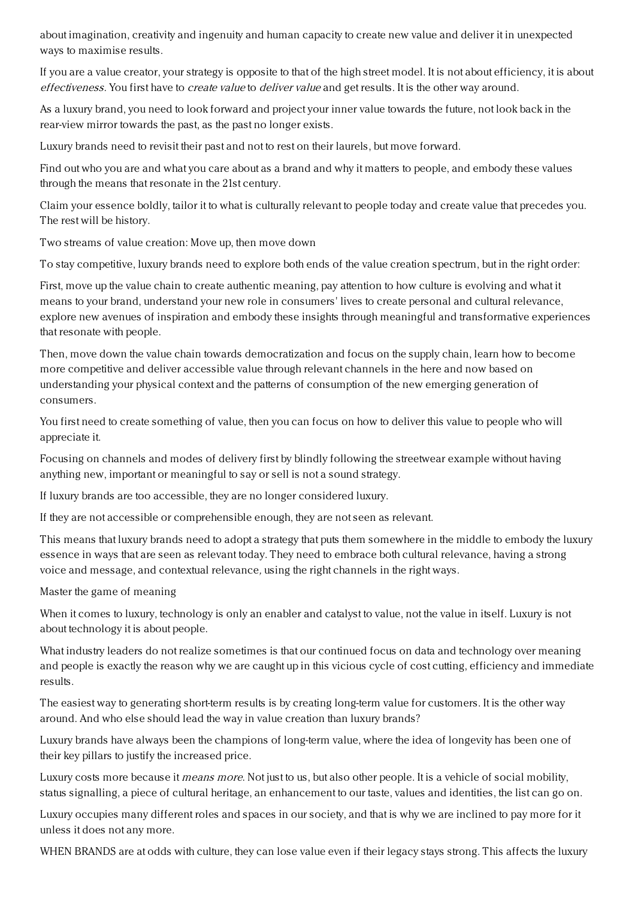about imagination, creativity and ingenuity and human capacity to create new value and deliver it in unexpected ways to maximise results.

If you are a value creator, your strategy is opposite to that of the high street model. It is not about efficiency, it is about effectiveness. You first have to create value to deliver value and get results. It is the other way around.

As a luxury brand, you need to look forward and project your inner value towards the future, not look back in the rear-view mirror towards the past, as the past no longer exists.

Luxury brands need to revisit their past and not to rest on their laurels, but move forward.

Find out who you are and what you care about as a brand and why it matters to people, and embody these values through the means that resonate in the 21st century.

Claim your essence boldly, tailor it to what is culturally relevant to people today and create value that precedes you. The rest will be history.

Two streams of value creation: Move up, then move down

To stay competitive, luxury brands need to explore both ends of the value creation spectrum, but in the right order:

First, move up the value chain to create authentic meaning, pay attention to how culture is evolving and what it means to your brand, understand your new role in consumers' lives to create personal and cultural relevance, explore new avenues of inspiration and embody these insights through meaningful and transformative experiences that resonate with people.

Then, move down the value chain towards democratization and focus on the supply chain, learn how to become more competitive and deliver accessible value through relevant channels in the here and now based on understanding your physical context and the patterns of consumption of the new emerging generation of consumers.

You first need to create something of value, then you can focus on how to deliver this value to people who will appreciate it.

Focusing on channels and modes of delivery first by blindly following the streetwear example without having anything new, important or meaningful to say or sell is not a sound strategy.

If luxury brands are too accessible, they are no longer considered luxury.

If they are not accessible or comprehensible enough, they are not seen as relevant.

This means that luxury brands need to adopt a strategy that puts them somewhere in the middle to embody the luxury essence in ways that are seen as relevant today. They need to embrace both cultural relevance, having a strong voice and message, and contextual relevance, using the right channels in the right ways.

Master the game of meaning

When it comes to luxury, technology is only an enabler and catalyst to value, not the value in itself. Luxury is not about technology it is about people.

What industry leaders do not realize sometimes is that our continued focus on data and technology over meaning and people is exactly the reason why we are caught up in this vicious cycle of cost cutting, efficiency and immediate results.

The easiest way to generating short-term results is by creating long-term value for customers. It is the other way around. And who else should lead the way in value creation than luxury brands?

Luxury brands have always been the champions of long-term value, where the idea of longevity has been one of their key pillars to justify the increased price.

Luxury costs more because it *means more*. Not just to us, but also other people. It is a vehicle of social mobility, status signalling, a piece of cultural heritage, an enhancement to our taste, values and identities, the list can go on.

Luxury occupies many different roles and spaces in our society, and that is why we are inclined to pay more for it unless it does not any more.

WHEN BRANDS are at odds with culture, they can lose value even if their legacy stays strong. This affects the luxury